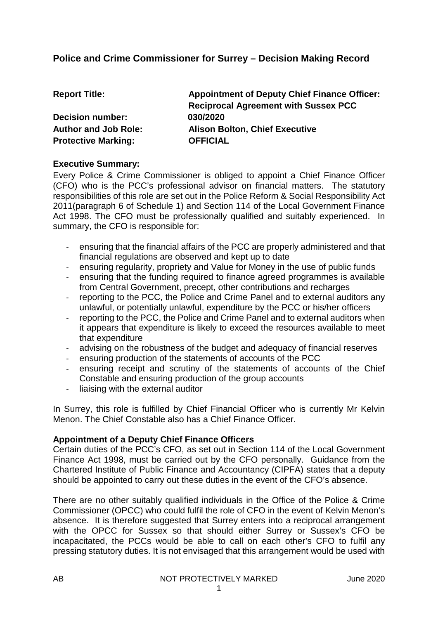# **Police and Crime Commissioner for Surrey – Decision Making Record**

| <b>Report Title:</b>        | <b>Appointment of Deputy Chief Finance Officer:</b> |
|-----------------------------|-----------------------------------------------------|
|                             | <b>Reciprocal Agreement with Sussex PCC</b>         |
| <b>Decision number:</b>     | 030/2020                                            |
| <b>Author and Job Role:</b> | <b>Alison Bolton, Chief Executive</b>               |
| <b>Protective Marking:</b>  | <b>OFFICIAL</b>                                     |

#### **Executive Summary:**

Every Police & Crime Commissioner is obliged to appoint a Chief Finance Officer (CFO) who is the PCC's professional advisor on financial matters. The statutory responsibilities of this role are set out in the Police Reform & Social Responsibility Act 2011(paragraph 6 of Schedule 1) and Section 114 of the Local Government Finance Act 1998. The CFO must be professionally qualified and suitably experienced. In summary, the CFO is responsible for:

- ensuring that the financial affairs of the PCC are properly administered and that financial regulations are observed and kept up to date
- ensuring regularity, propriety and Value for Money in the use of public funds
- ensuring that the funding required to finance agreed programmes is available from Central Government, precept, other contributions and recharges
- reporting to the PCC, the Police and Crime Panel and to external auditors any unlawful, or potentially unlawful, expenditure by the PCC or his/her officers
- reporting to the PCC, the Police and Crime Panel and to external auditors when it appears that expenditure is likely to exceed the resources available to meet that expenditure
- advising on the robustness of the budget and adequacy of financial reserves<br>- ensuring production of the statements of accounts of the PCC
- ensuring production of the statements of accounts of the PCC
- ensuring receipt and scrutiny of the statements of accounts of the Chief Constable and ensuring production of the group accounts
- liaising with the external auditor

In Surrey, this role is fulfilled by Chief Financial Officer who is currently Mr Kelvin Menon. The Chief Constable also has a Chief Finance Officer.

#### **Appointment of a Deputy Chief Finance Officers**

Certain duties of the PCC's CFO, as set out in Section 114 of the Local Government Finance Act 1998, must be carried out by the CFO personally. Guidance from the Chartered Institute of Public Finance and Accountancy (CIPFA) states that a deputy should be appointed to carry out these duties in the event of the CFO's absence.

There are no other suitably qualified individuals in the Office of the Police & Crime Commissioner (OPCC) who could fulfil the role of CFO in the event of Kelvin Menon's absence. It is therefore suggested that Surrey enters into a reciprocal arrangement with the OPCC for Sussex so that should either Surrey or Sussex's CFO be incapacitated, the PCCs would be able to call on each other's CFO to fulfil any pressing statutory duties. It is not envisaged that this arrangement would be used with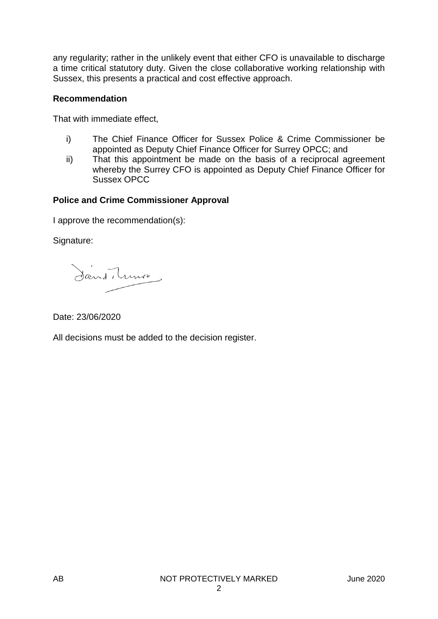any regularity; rather in the unlikely event that either CFO is unavailable to discharge a time critical statutory duty. Given the close collaborative working relationship with Sussex, this presents a practical and cost effective approach.

#### **Recommendation**

That with immediate effect,

- i) The Chief Finance Officer for Sussex Police & Crime Commissioner be appointed as Deputy Chief Finance Officer for Surrey OPCC; and
- ii) That this appointment be made on the basis of a reciprocal agreement whereby the Surrey CFO is appointed as Deputy Chief Finance Officer for Sussex OPCC

## **Police and Crime Commissioner Approval**

I approve the recommendation(s):

Signature:

Sand, Lunio

Date: 23/06/2020

All decisions must be added to the decision register.